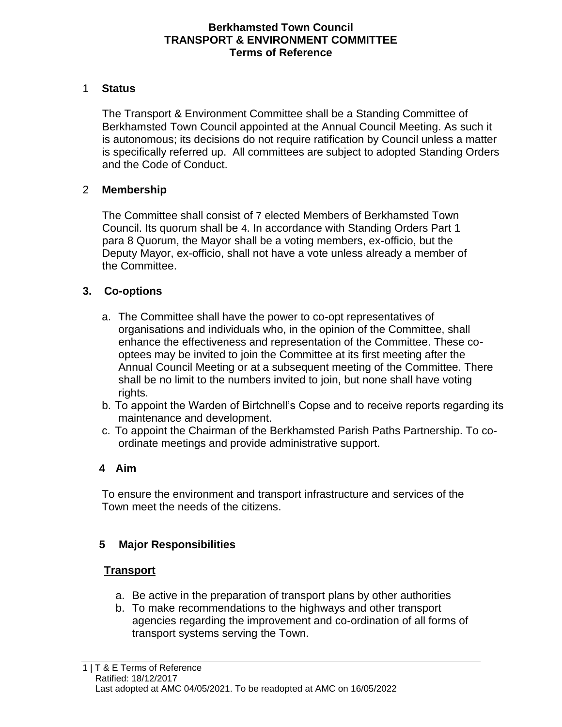## **Berkhamsted Town Council TRANSPORT & ENVIRONMENT COMMITTEE Terms of Reference**

#### 1 **Status**

The Transport & Environment Committee shall be a Standing Committee of Berkhamsted Town Council appointed at the Annual Council Meeting. As such it is autonomous; its decisions do not require ratification by Council unless a matter is specifically referred up. All committees are subject to adopted Standing Orders and the Code of Conduct.

## 2 **Membership**

The Committee shall consist of 7 elected Members of Berkhamsted Town Council. Its quorum shall be 4. In accordance with Standing Orders Part 1 para 8 Quorum, the Mayor shall be a voting members, ex-officio, but the Deputy Mayor, ex-officio, shall not have a vote unless already a member of the Committee.

## **3. Co-options**

- a. The Committee shall have the power to co-opt representatives of organisations and individuals who, in the opinion of the Committee, shall enhance the effectiveness and representation of the Committee. These cooptees may be invited to join the Committee at its first meeting after the Annual Council Meeting or at a subsequent meeting of the Committee. There shall be no limit to the numbers invited to join, but none shall have voting rights.
- b. To appoint the Warden of Birtchnell's Copse and to receive reports regarding its maintenance and development.
- c. To appoint the Chairman of the Berkhamsted Parish Paths Partnership. To coordinate meetings and provide administrative support.

# **4 Aim**

To ensure the environment and transport infrastructure and services of the Town meet the needs of the citizens.

# **5 Major Responsibilities**

#### **Transport**

- a. Be active in the preparation of transport plans by other authorities
- b. To make recommendations to the highways and other transport agencies regarding the improvement and co-ordination of all forms of transport systems serving the Town.